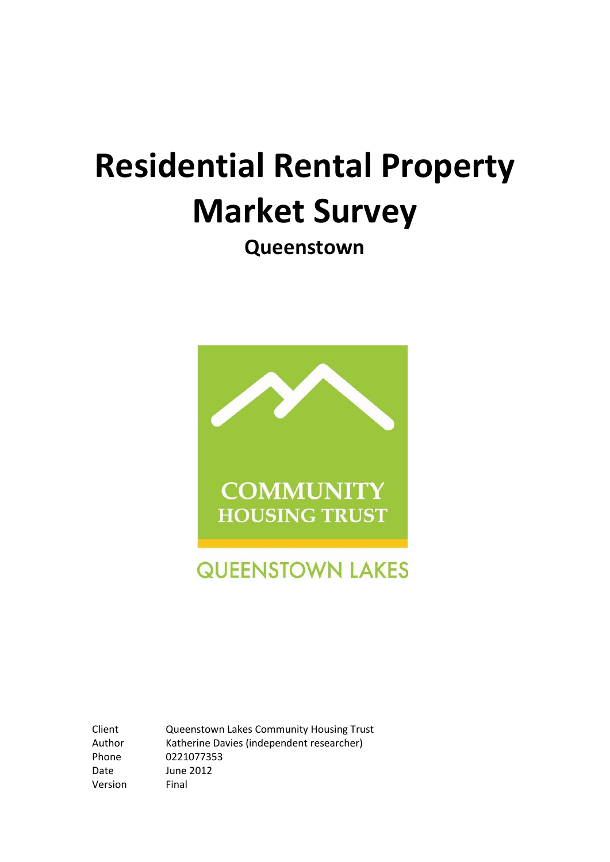# **Residential Rental Property Market Survey**

**Queenstown**



Version Final

Client Queenstown Lakes Community Housing Trust Author Katherine Davies (independent researcher) Phone 0221077353 Date June 2012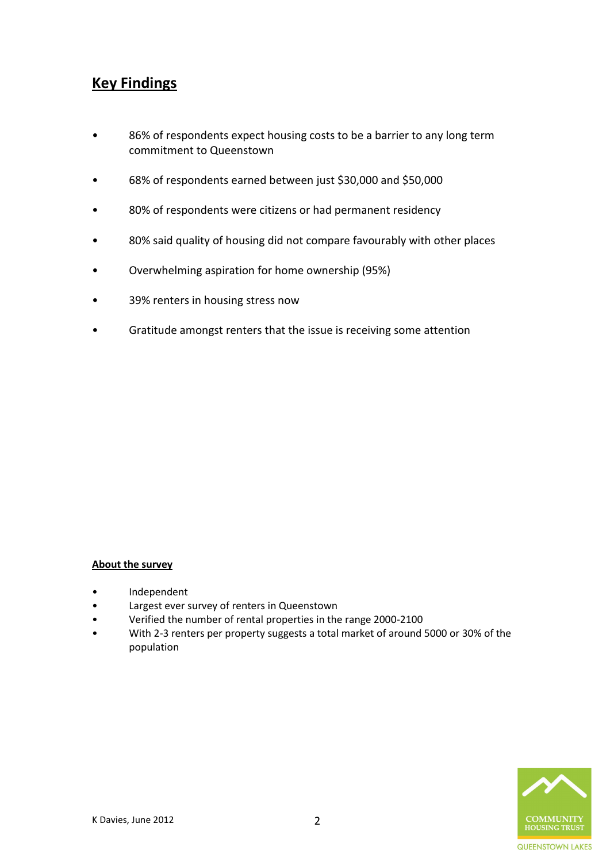# **Key Findings**

- 86% of respondents expect housing costs to be a barrier to any long term commitment to Queenstown
- 68% of respondents earned between just \$30,000 and \$50,000
- 80% of respondents were citizens or had permanent residency
- 80% said quality of housing did not compare favourably with other places
- Overwhelming aspiration for home ownership (95%)
- 39% renters in housing stress now
- Gratitude amongst renters that the issue is receiving some attention

#### **About the survey**

- Independent
- Largest ever survey of renters in Queenstown
- Verified the number of rental properties in the range 2000-2100
- With 2-3 renters per property suggests a total market of around 5000 or 30% of the population

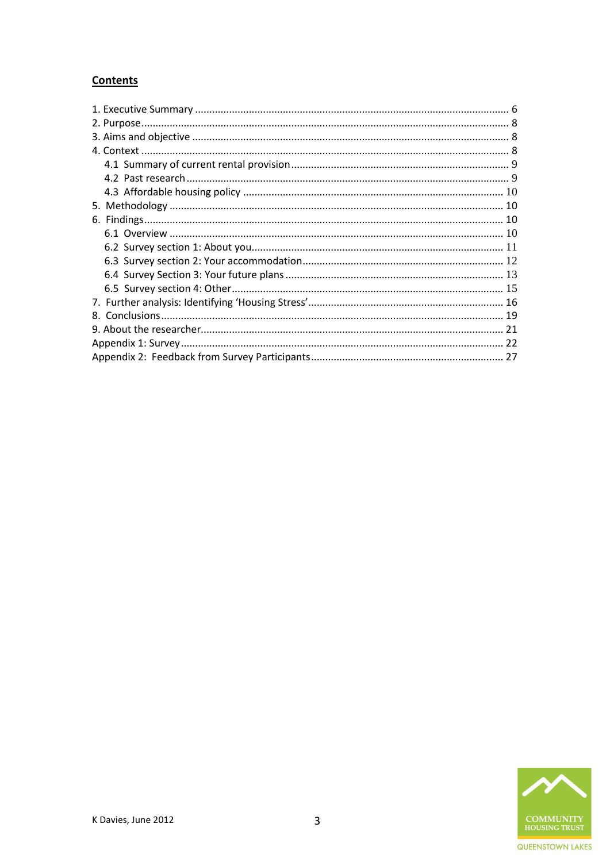# **Contents**

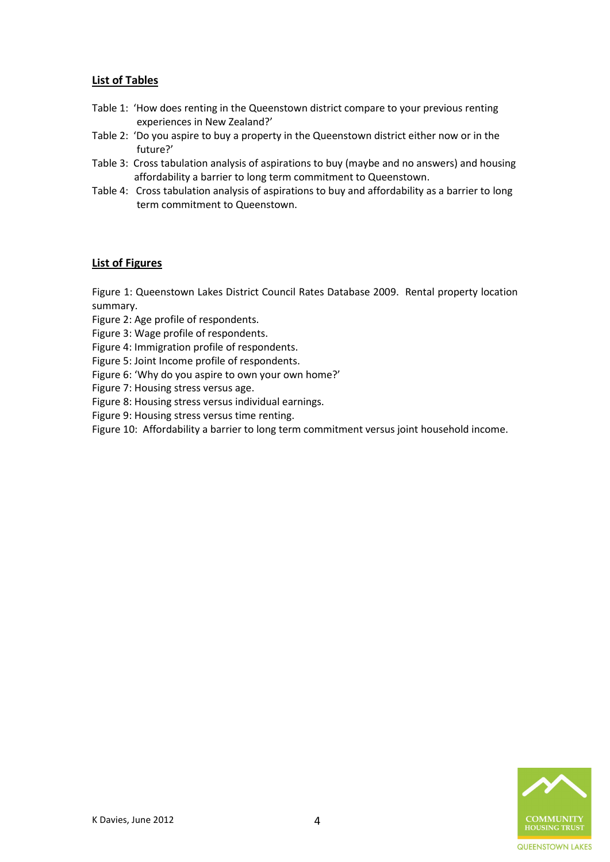# **List of Tables**

- Table 1: 'How does renting in the Queenstown district compare to your previous renting experiences in New Zealand?'
- Table 2: 'Do you aspire to buy a property in the Queenstown district either now or in the future?'
- Table 3: Cross tabulation analysis of aspirations to buy (maybe and no answers) and housing affordability a barrier to long term commitment to Queenstown.
- Table 4: Cross tabulation analysis of aspirations to buy and affordability as a barrier to long term commitment to Queenstown.

# **List of Figures**

Figure 1: Queenstown Lakes District Council Rates Database 2009. Rental property location summary.

Figure 2: Age profile of respondents.

Figure 3: Wage profile of respondents.

Figure 4: Immigration profile of respondents.

Figure 5: Joint Income profile of respondents.

Figure 6: 'Why do you aspire to own your own home?'

Figure 7: Housing stress versus age.

Figure 8: Housing stress versus individual earnings.

Figure 9: Housing stress versus time renting.

Figure 10: Affordability a barrier to long term commitment versus joint household income.

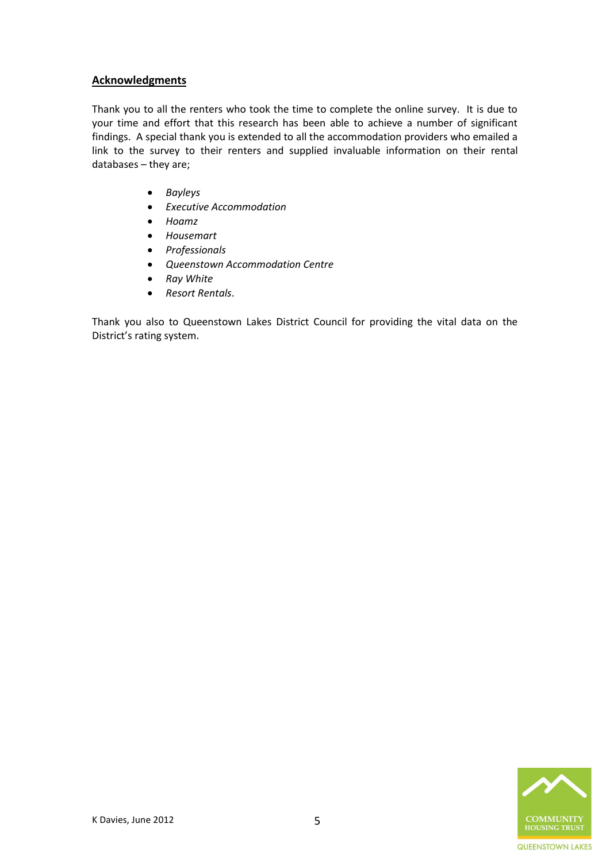# **Acknowledgments**

Thank you to all the renters who took the time to complete the online survey. It is due to your time and effort that this research has been able to achieve a number of significant findings. A special thank you is extended to all the accommodation providers who emailed a link to the survey to their renters and supplied invaluable information on their rental databases – they are;

- *Bayleys*
- *Executive Accommodation*
- *Hoamz*
- *Housemart*
- *Professionals*
- *Queenstown Accommodation Centre*
- *Ray White*
- *Resort Rentals*.

Thank you also to Queenstown Lakes District Council for providing the vital data on the District's rating system.

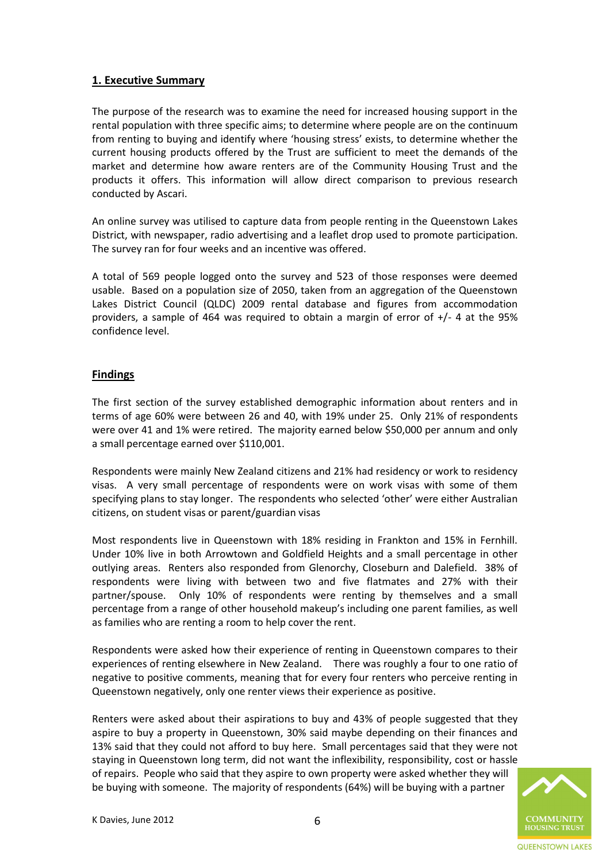# <span id="page-5-0"></span>**1. Executive Summary**

The purpose of the research was to examine the need for increased housing support in the rental population with three specific aims; to determine where people are on the continuum from renting to buying and identify where 'housing stress' exists, to determine whether the current housing products offered by the Trust are sufficient to meet the demands of the market and determine how aware renters are of the Community Housing Trust and the products it offers. This information will allow direct comparison to previous research conducted by Ascari.

An online survey was utilised to capture data from people renting in the Queenstown Lakes District, with newspaper, radio advertising and a leaflet drop used to promote participation. The survey ran for four weeks and an incentive was offered.

A total of 569 people logged onto the survey and 523 of those responses were deemed usable. Based on a population size of 2050, taken from an aggregation of the Queenstown Lakes District Council (QLDC) 2009 rental database and figures from accommodation providers, a sample of 464 was required to obtain a margin of error of +/- 4 at the 95% confidence level.

# **Findings**

The first section of the survey established demographic information about renters and in terms of age 60% were between 26 and 40, with 19% under 25. Only 21% of respondents were over 41 and 1% were retired. The majority earned below \$50,000 per annum and only a small percentage earned over \$110,001.

Respondents were mainly New Zealand citizens and 21% had residency or work to residency visas. A very small percentage of respondents were on work visas with some of them specifying plans to stay longer. The respondents who selected 'other' were either Australian citizens, on student visas or parent/guardian visas

Most respondents live in Queenstown with 18% residing in Frankton and 15% in Fernhill. Under 10% live in both Arrowtown and Goldfield Heights and a small percentage in other outlying areas. Renters also responded from Glenorchy, Closeburn and Dalefield. 38% of respondents were living with between two and five flatmates and 27% with their partner/spouse. Only 10% of respondents were renting by themselves and a small percentage from a range of other household makeup's including one parent families, as well as families who are renting a room to help cover the rent.

Respondents were asked how their experience of renting in Queenstown compares to their experiences of renting elsewhere in New Zealand. There was roughly a four to one ratio of negative to positive comments, meaning that for every four renters who perceive renting in Queenstown negatively, only one renter views their experience as positive.

Renters were asked about their aspirations to buy and 43% of people suggested that they aspire to buy a property in Queenstown, 30% said maybe depending on their finances and 13% said that they could not afford to buy here. Small percentages said that they were not staying in Queenstown long term, did not want the inflexibility, responsibility, cost or hassle of repairs. People who said that they aspire to own property were asked whether they will be buying with someone. The majority of respondents (64%) will be buying with a partner

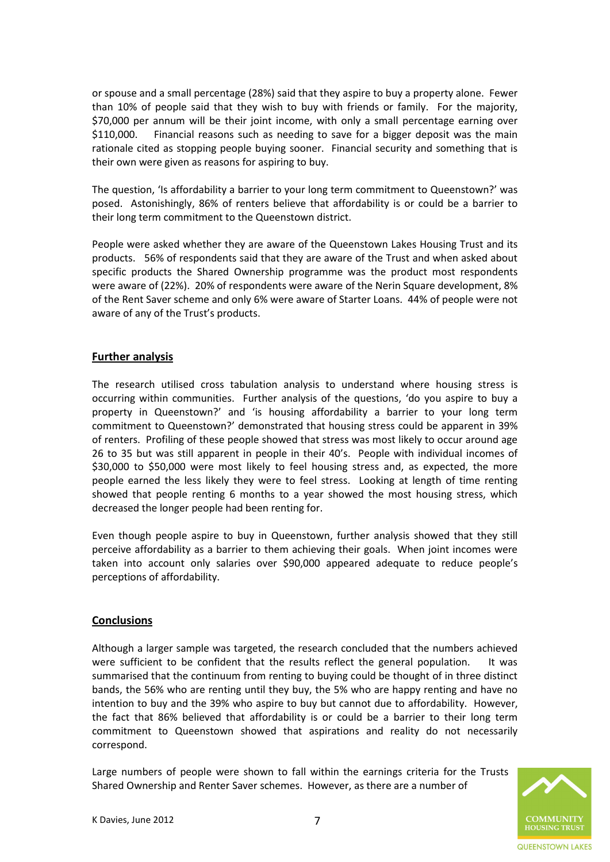or spouse and a small percentage (28%) said that they aspire to buy a property alone. Fewer than 10% of people said that they wish to buy with friends or family. For the majority, \$70,000 per annum will be their joint income, with only a small percentage earning over \$110,000. Financial reasons such as needing to save for a bigger deposit was the main rationale cited as stopping people buying sooner. Financial security and something that is their own were given as reasons for aspiring to buy.

The question, 'Is affordability a barrier to your long term commitment to Queenstown?' was posed. Astonishingly, 86% of renters believe that affordability is or could be a barrier to their long term commitment to the Queenstown district.

People were asked whether they are aware of the Queenstown Lakes Housing Trust and its products. 56% of respondents said that they are aware of the Trust and when asked about specific products the Shared Ownership programme was the product most respondents were aware of (22%). 20% of respondents were aware of the Nerin Square development, 8% of the Rent Saver scheme and only 6% were aware of Starter Loans. 44% of people were not aware of any of the Trust's products.

# **Further analysis**

The research utilised cross tabulation analysis to understand where housing stress is occurring within communities. Further analysis of the questions, 'do you aspire to buy a property in Queenstown?' and 'is housing affordability a barrier to your long term commitment to Queenstown?' demonstrated that housing stress could be apparent in 39% of renters. Profiling of these people showed that stress was most likely to occur around age 26 to 35 but was still apparent in people in their 40's. People with individual incomes of \$30,000 to \$50,000 were most likely to feel housing stress and, as expected, the more people earned the less likely they were to feel stress. Looking at length of time renting showed that people renting 6 months to a year showed the most housing stress, which decreased the longer people had been renting for.

Even though people aspire to buy in Queenstown, further analysis showed that they still perceive affordability as a barrier to them achieving their goals. When joint incomes were taken into account only salaries over \$90,000 appeared adequate to reduce people's perceptions of affordability.

#### **Conclusions**

Although a larger sample was targeted, the research concluded that the numbers achieved were sufficient to be confident that the results reflect the general population. It was summarised that the continuum from renting to buying could be thought of in three distinct bands, the 56% who are renting until they buy, the 5% who are happy renting and have no intention to buy and the 39% who aspire to buy but cannot due to affordability. However, the fact that 86% believed that affordability is or could be a barrier to their long term commitment to Queenstown showed that aspirations and reality do not necessarily correspond.

Large numbers of people were shown to fall within the earnings criteria for the Trusts Shared Ownership and Renter Saver schemes. However, as there are a number of

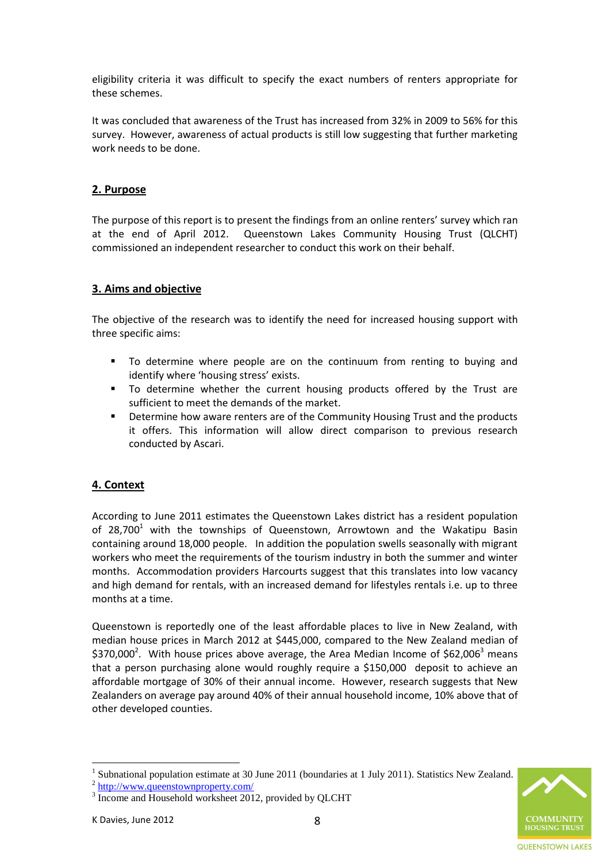eligibility criteria it was difficult to specify the exact numbers of renters appropriate for these schemes.

It was concluded that awareness of the Trust has increased from 32% in 2009 to 56% for this survey. However, awareness of actual products is still low suggesting that further marketing work needs to be done.

# <span id="page-7-0"></span>**2. Purpose**

The purpose of this report is to present the findings from an online renters' survey which ran at the end of April 2012. Queenstown Lakes Community Housing Trust (QLCHT) commissioned an independent researcher to conduct this work on their behalf.

# <span id="page-7-1"></span>**3. Aims and objective**

The objective of the research was to identify the need for increased housing support with three specific aims:

- To determine where people are on the continuum from renting to buying and identify where 'housing stress' exists.
- To determine whether the current housing products offered by the Trust are sufficient to meet the demands of the market.
- Determine how aware renters are of the Community Housing Trust and the products it offers. This information will allow direct comparison to previous research conducted by Ascari.

# <span id="page-7-2"></span>**4. Context**

According to June 2011 estimates the Queenstown Lakes district has a resident population of 28,700<sup>1</sup> with the townships of Queenstown, Arrowtown and the Wakatipu Basin containing around 18,000 people. In addition the population swells seasonally with migrant workers who meet the requirements of the tourism industry in both the summer and winter months. Accommodation providers Harcourts suggest that this translates into low vacancy and high demand for rentals, with an increased demand for lifestyles rentals i.e. up to three months at a time.

Queenstown is reportedly one of the least affordable places to live in New Zealand, with median house prices in March 2012 at \$445,000, compared to the New Zealand median of \$370,000<sup>2</sup>. With house prices above average, the Area Median Income of \$62,006<sup>3</sup> means that a person purchasing alone would roughly require a \$150,000 deposit to achieve an affordable mortgage of 30% of their annual income. However, research suggests that New Zealanders on average pay around 40% of their annual household income, 10% above that of other developed counties.

**QUEENSTOWN LAKES** 

 $\overline{a}$ 

<sup>1</sup> Subnational population estimate at 30 June 2011 (boundaries at 1 July 2011). Statistics New Zealand.

<sup>&</sup>lt;sup>2</sup> <http://www.queenstownproperty.com/>

<sup>&</sup>lt;sup>3</sup> Income and Household worksheet 2012, provided by QLCHT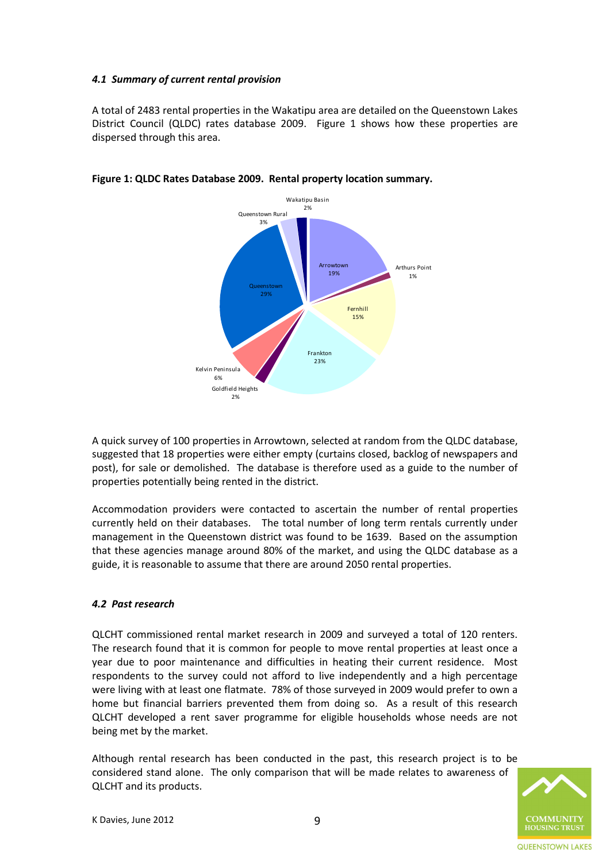# <span id="page-8-0"></span>*4.1 Summary of current rental provision*

A total of 2483 rental properties in the Wakatipu area are detailed on the Queenstown Lakes District Council (QLDC) rates database 2009. Figure 1 shows how these properties are dispersed through this area.



# **Figure 1: QLDC Rates Database 2009. Rental property location summary.**

A quick survey of 100 properties in Arrowtown, selected at random from the QLDC database, suggested that 18 properties were either empty (curtains closed, backlog of newspapers and post), for sale or demolished. The database is therefore used as a guide to the number of properties potentially being rented in the district.

Accommodation providers were contacted to ascertain the number of rental properties currently held on their databases. The total number of long term rentals currently under management in the Queenstown district was found to be 1639. Based on the assumption that these agencies manage around 80% of the market, and using the QLDC database as a guide, it is reasonable to assume that there are around 2050 rental properties.

# <span id="page-8-1"></span>*4.2 Past research*

QLCHT commissioned rental market research in 2009 and surveyed a total of 120 renters. The research found that it is common for people to move rental properties at least once a year due to poor maintenance and difficulties in heating their current residence. Most respondents to the survey could not afford to live independently and a high percentage were living with at least one flatmate. 78% of those surveyed in 2009 would prefer to own a home but financial barriers prevented them from doing so. As a result of this research QLCHT developed a rent saver programme for eligible households whose needs are not being met by the market.

Although rental research has been conducted in the past, this research project is to be considered stand alone. The only comparison that will be made relates to awareness of QLCHT and its products.

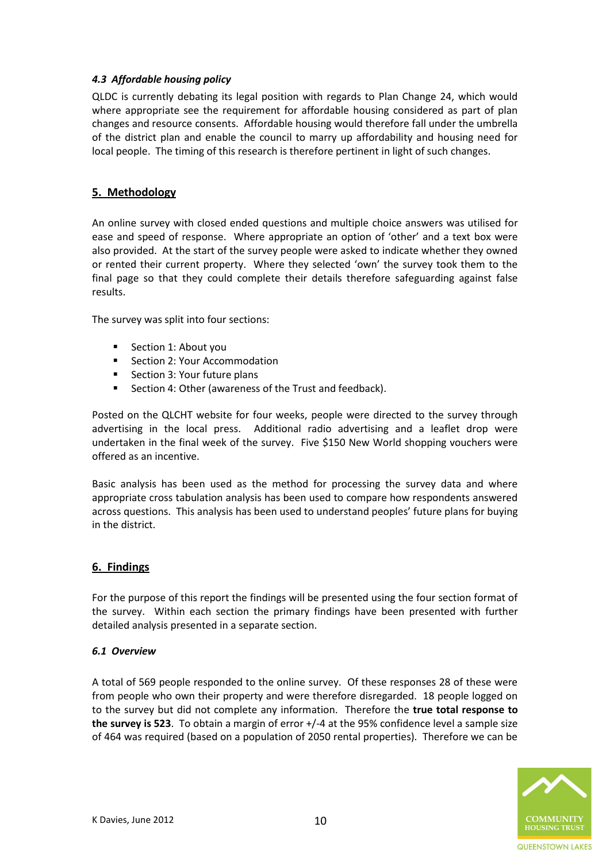# <span id="page-9-0"></span>*4.3 Affordable housing policy*

QLDC is currently debating its legal position with regards to Plan Change 24, which would where appropriate see the requirement for affordable housing considered as part of plan changes and resource consents. Affordable housing would therefore fall under the umbrella of the district plan and enable the council to marry up affordability and housing need for local people. The timing of this research is therefore pertinent in light of such changes.

# <span id="page-9-1"></span>**5. Methodology**

An online survey with closed ended questions and multiple choice answers was utilised for ease and speed of response. Where appropriate an option of 'other' and a text box were also provided. At the start of the survey people were asked to indicate whether they owned or rented their current property. Where they selected 'own' the survey took them to the final page so that they could complete their details therefore safeguarding against false results.

The survey was split into four sections:

- Section 1: About you
- Section 2: Your Accommodation
- Section 3: Your future plans
- Section 4: Other (awareness of the Trust and feedback).

Posted on the QLCHT website for four weeks, people were directed to the survey through advertising in the local press. Additional radio advertising and a leaflet drop were undertaken in the final week of the survey. Five \$150 New World shopping vouchers were offered as an incentive.

Basic analysis has been used as the method for processing the survey data and where appropriate cross tabulation analysis has been used to compare how respondents answered across questions. This analysis has been used to understand peoples' future plans for buying in the district.

# <span id="page-9-2"></span>**6. Findings**

For the purpose of this report the findings will be presented using the four section format of the survey. Within each section the primary findings have been presented with further detailed analysis presented in a separate section.

#### <span id="page-9-3"></span>*6.1 Overview*

A total of 569 people responded to the online survey. Of these responses 28 of these were from people who own their property and were therefore disregarded. 18 people logged on to the survey but did not complete any information. Therefore the **true total response to the survey is 523**. To obtain a margin of error +/-4 at the 95% confidence level a sample size of 464 was required (based on a population of 2050 rental properties). Therefore we can be

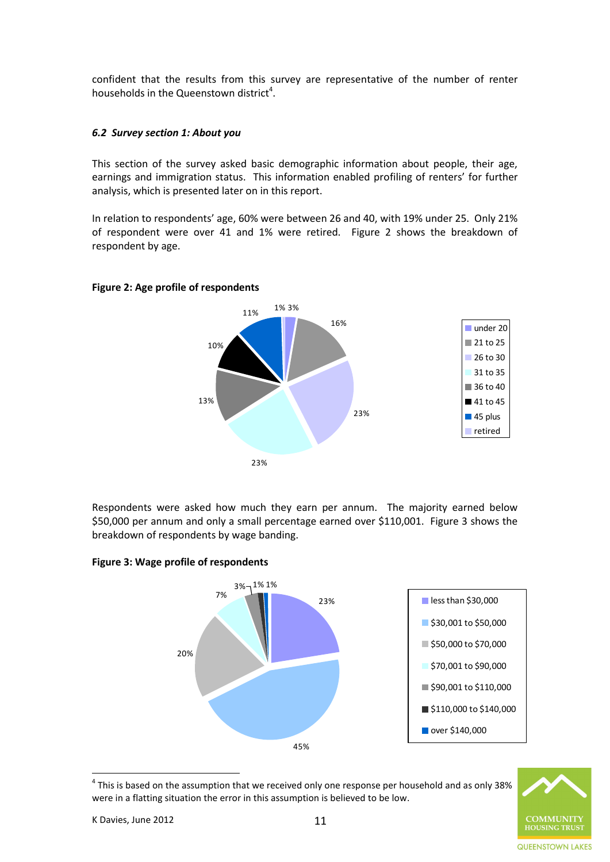confident that the results from this survey are representative of the number of renter households in the Queenstown district<sup>4</sup>.

### <span id="page-10-0"></span>*6.2 Survey section 1: About you*

This section of the survey asked basic demographic information about people, their age, earnings and immigration status. This information enabled profiling of renters' for further analysis, which is presented later on in this report.

In relation to respondents' age, 60% were between 26 and 40, with 19% under 25. Only 21% of respondent were over 41 and 1% were retired. Figure 2 shows the breakdown of respondent by age.

#### **Figure 2: Age profile of respondents**



Respondents were asked how much they earn per annum. The majority earned below \$50,000 per annum and only a small percentage earned over \$110,001. Figure 3 shows the breakdown of respondents by wage banding.



 $^4$  This is based on the assumption that we received only one response per household and as only 38% were in a flatting situation the error in this assumption is believed to be low.

 $\overline{a}$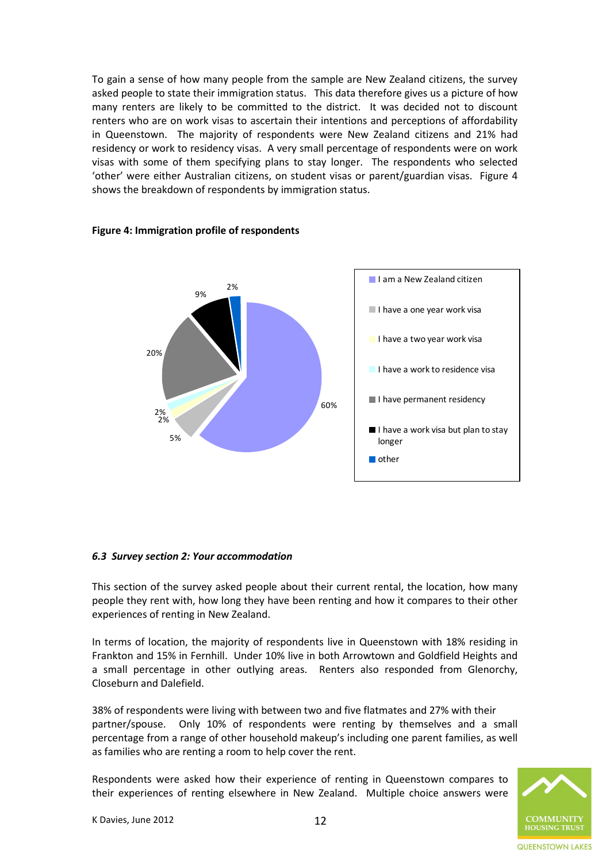To gain a sense of how many people from the sample are New Zealand citizens, the survey asked people to state their immigration status. This data therefore gives us a picture of how many renters are likely to be committed to the district. It was decided not to discount renters who are on work visas to ascertain their intentions and perceptions of affordability in Queenstown. The majority of respondents were New Zealand citizens and 21% had residency or work to residency visas. A very small percentage of respondents were on work visas with some of them specifying plans to stay longer. The respondents who selected 'other' were either Australian citizens, on student visas or parent/guardian visas. Figure 4 shows the breakdown of respondents by immigration status.



#### **Figure 4: Immigration profile of respondents**

#### <span id="page-11-0"></span>*6.3 Survey section 2: Your accommodation*

This section of the survey asked people about their current rental, the location, how many people they rent with, how long they have been renting and how it compares to their other experiences of renting in New Zealand.

In terms of location, the majority of respondents live in Queenstown with 18% residing in Frankton and 15% in Fernhill. Under 10% live in both Arrowtown and Goldfield Heights and a small percentage in other outlying areas. Renters also responded from Glenorchy, Closeburn and Dalefield.

38% of respondents were living with between two and five flatmates and 27% with their partner/spouse. Only 10% of respondents were renting by themselves and a small percentage from a range of other household makeup's including one parent families, as well as families who are renting a room to help cover the rent.

Respondents were asked how their experience of renting in Queenstown compares to their experiences of renting elsewhere in New Zealand. Multiple choice answers were

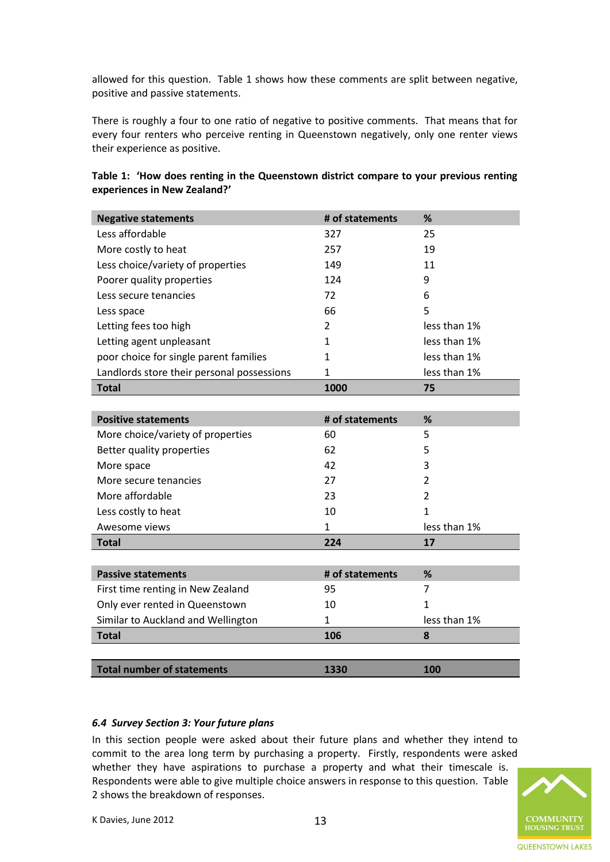allowed for this question. Table 1 shows how these comments are split between negative, positive and passive statements.

There is roughly a four to one ratio of negative to positive comments. That means that for every four renters who perceive renting in Queenstown negatively, only one renter views their experience as positive.

| <b>Negative statements</b>                 | # of statements | %              |
|--------------------------------------------|-----------------|----------------|
| Less affordable                            | 327             | 25             |
| More costly to heat                        | 257             | 19             |
| Less choice/variety of properties          | 149             | 11             |
| Poorer quality properties                  | 124             | 9              |
| Less secure tenancies                      | 72              | 6              |
| Less space                                 | 66              | 5              |
| Letting fees too high                      | 2               | less than 1%   |
| Letting agent unpleasant                   | 1               | less than 1%   |
| poor choice for single parent families     | 1               | less than 1%   |
| Landlords store their personal possessions | $\mathbf{1}$    | less than 1%   |
| <b>Total</b>                               | 1000            | 75             |
|                                            |                 |                |
| <b>Positive statements</b>                 | # of statements | %              |
| More choice/variety of properties          | 60              | 5              |
| Better quality properties                  | 62              | 5              |
| More space                                 | 42              | 3              |
| More secure tenancies                      | 27              | $\overline{2}$ |
| More affordable                            | 23              | $\overline{2}$ |
| Less costly to heat                        | 10              | $\mathbf{1}$   |
| Awesome views                              | $\mathbf{1}$    | less than 1%   |
| <b>Total</b>                               | 224             | 17             |
|                                            |                 |                |
| <b>Passive statements</b>                  | # of statements | %              |
| First time renting in New Zealand          | 95              | 7              |
| Only ever rented in Queenstown             | 10              | 1              |
| Similar to Auckland and Wellington         | 1               | less than 1%   |
| <b>Total</b>                               | 106             | 8              |
|                                            |                 |                |
| <b>Total number of statements</b>          | 1330            | 100            |

#### **Table 1: 'How does renting in the Queenstown district compare to your previous renting experiences in New Zealand?'**

#### <span id="page-12-0"></span>*6.4 Survey Section 3: Your future plans*

In this section people were asked about their future plans and whether they intend to commit to the area long term by purchasing a property. Firstly, respondents were asked whether they have aspirations to purchase a property and what their timescale is. Respondents were able to give multiple choice answers in response to this question. Table 2 shows the breakdown of responses.

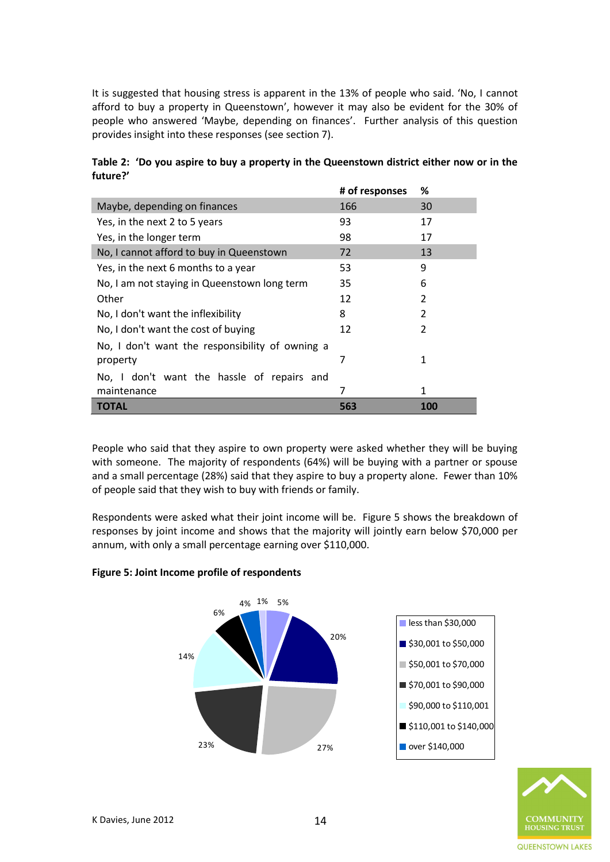It is suggested that housing stress is apparent in the 13% of people who said. 'No, I cannot afford to buy a property in Queenstown', however it may also be evident for the 30% of people who answered 'Maybe, depending on finances'. Further analysis of this question provides insight into these responses (see section 7).

|                                                 | # of responses | ℅          |
|-------------------------------------------------|----------------|------------|
| Maybe, depending on finances                    | 166            | 30         |
| Yes, in the next 2 to 5 years                   | 93             | 17         |
| Yes, in the longer term                         | 98             | 17         |
| No, I cannot afford to buy in Queenstown        | 72             | 13         |
| Yes, in the next 6 months to a year             | 53             | 9          |
| No, I am not staying in Queenstown long term    | 35             | 6          |
| Other                                           | 12             | 2          |
| No, I don't want the inflexibility              | 8              | 2          |
| No, I don't want the cost of buying             | 12             | 2          |
| No, I don't want the responsibility of owning a |                |            |
| property                                        | 7              | 1          |
| No, I don't want the hassle of repairs and      |                |            |
| maintenance                                     | 7              | 1          |
| <b>TOTAL</b>                                    | 563            | <b>100</b> |

**Table 2: 'Do you aspire to buy a property in the Queenstown district either now or in the future?'**

People who said that they aspire to own property were asked whether they will be buying with someone. The majority of respondents (64%) will be buying with a partner or spouse and a small percentage (28%) said that they aspire to buy a property alone. Fewer than 10% of people said that they wish to buy with friends or family.

Respondents were asked what their joint income will be. Figure 5 shows the breakdown of responses by joint income and shows that the majority will jointly earn below \$70,000 per annum, with only a small percentage earning over \$110,000.

# **Figure 5: Joint Income profile of respondents**



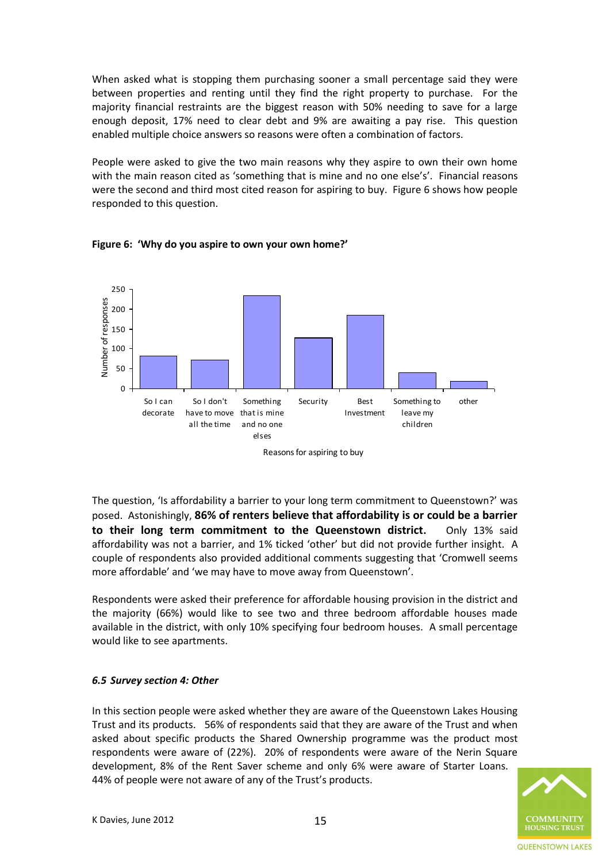When asked what is stopping them purchasing sooner a small percentage said they were between properties and renting until they find the right property to purchase. For the majority financial restraints are the biggest reason with 50% needing to save for a large enough deposit, 17% need to clear debt and 9% are awaiting a pay rise. This question enabled multiple choice answers so reasons were often a combination of factors.

People were asked to give the two main reasons why they aspire to own their own home with the main reason cited as 'something that is mine and no one else's'. Financial reasons were the second and third most cited reason for aspiring to buy. Figure 6 shows how people responded to this question.



**Figure 6: 'Why do you aspire to own your own home?'**

The question, 'Is affordability a barrier to your long term commitment to Queenstown?' was posed. Astonishingly, **86% of renters believe that affordability is or could be a barrier to their long term commitment to the Queenstown district.** Only 13% said affordability was not a barrier, and 1% ticked 'other' but did not provide further insight. A couple of respondents also provided additional comments suggesting that 'Cromwell seems more affordable' and 'we may have to move away from Queenstown'.

Respondents were asked their preference for affordable housing provision in the district and the majority (66%) would like to see two and three bedroom affordable houses made available in the district, with only 10% specifying four bedroom houses. A small percentage would like to see apartments.

# <span id="page-14-0"></span>*6.5 Survey section 4: Other*

In this section people were asked whether they are aware of the Queenstown Lakes Housing Trust and its products. 56% of respondents said that they are aware of the Trust and when asked about specific products the Shared Ownership programme was the product most respondents were aware of (22%). 20% of respondents were aware of the Nerin Square development, 8% of the Rent Saver scheme and only 6% were aware of Starter Loans. 44% of people were not aware of any of the Trust's products.

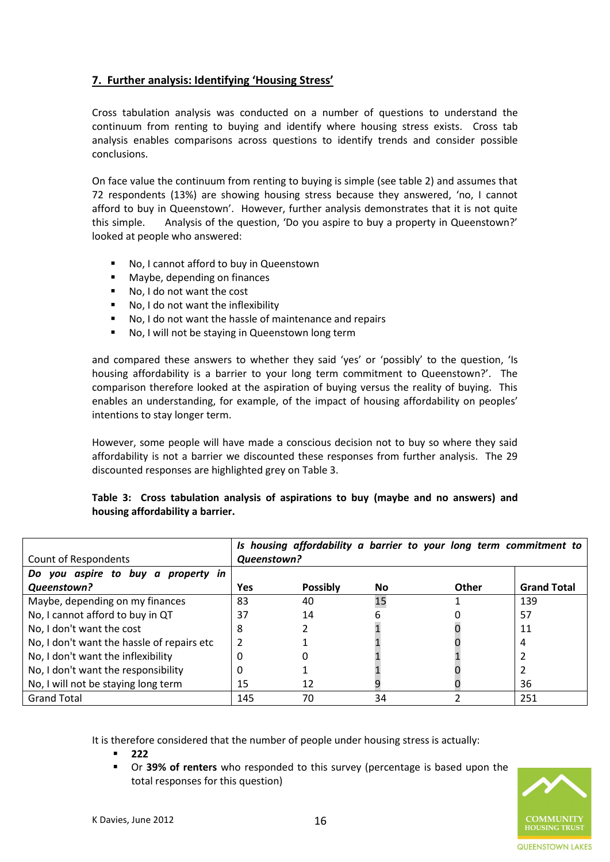# <span id="page-15-0"></span>**7. Further analysis: Identifying 'Housing Stress'**

Cross tabulation analysis was conducted on a number of questions to understand the continuum from renting to buying and identify where housing stress exists. Cross tab analysis enables comparisons across questions to identify trends and consider possible conclusions.

On face value the continuum from renting to buying is simple (see table 2) and assumes that 72 respondents (13%) are showing housing stress because they answered, 'no, I cannot afford to buy in Queenstown'. However, further analysis demonstrates that it is not quite this simple. Analysis of the question, 'Do you aspire to buy a property in Queenstown?' looked at people who answered:

- No, I cannot afford to buy in Queenstown
- **Maybe, depending on finances**
- No, I do not want the cost
- No, I do not want the inflexibility
- No, I do not want the hassle of maintenance and repairs
- No, I will not be staying in Queenstown long term

and compared these answers to whether they said 'yes' or 'possibly' to the question, 'Is housing affordability is a barrier to your long term commitment to Queenstown?'. The comparison therefore looked at the aspiration of buying versus the reality of buying. This enables an understanding, for example, of the impact of housing affordability on peoples' intentions to stay longer term.

However, some people will have made a conscious decision not to buy so where they said affordability is not a barrier we discounted these responses from further analysis. The 29 discounted responses are highlighted grey on Table 3.

|  |                                  |  | Table 3: Cross tabulation analysis of aspirations to buy (maybe and no answers) and |  |  |  |  |
|--|----------------------------------|--|-------------------------------------------------------------------------------------|--|--|--|--|
|  | housing affordability a barrier. |  |                                                                                     |  |  |  |  |

|                                            |             |                 | Is housing affordability a barrier to your long term commitment to |       |                    |
|--------------------------------------------|-------------|-----------------|--------------------------------------------------------------------|-------|--------------------|
| Count of Respondents                       | Queenstown? |                 |                                                                    |       |                    |
| Do you aspire to buy a property in         |             |                 |                                                                    |       |                    |
| Queenstown?                                | Yes         | <b>Possibly</b> | No                                                                 | Other | <b>Grand Total</b> |
| Maybe, depending on my finances            | 83          | 40              | 15                                                                 |       | 139                |
| No, I cannot afford to buy in QT           | 37          | 14              |                                                                    |       | 57                 |
| No, I don't want the cost                  | 8           |                 |                                                                    |       | 11                 |
| No, I don't want the hassle of repairs etc |             |                 |                                                                    |       | 4                  |
| No, I don't want the inflexibility         | 0           |                 |                                                                    |       |                    |
| No, I don't want the responsibility        | 0           |                 |                                                                    |       |                    |
| No, I will not be staying long term        | 15          | 12              |                                                                    |       | 36                 |
| <b>Grand Total</b>                         | 145         | 70              | 34                                                                 |       | 251                |

It is therefore considered that the number of people under housing stress is actually:

- **222**
- Or **39% of renters** who responded to this survey (percentage is based upon the total responses for this question)

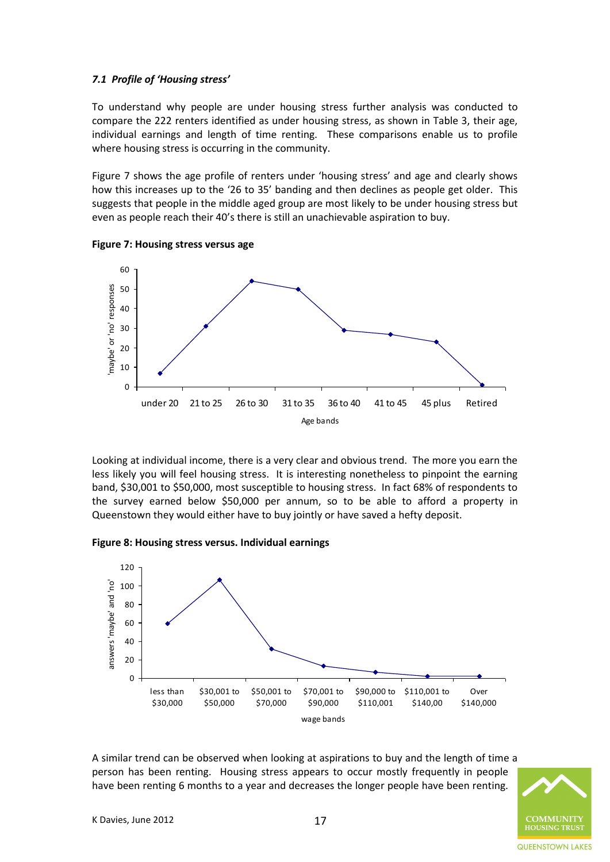#### *7.1 Profile of 'Housing stress'*

To understand why people are under housing stress further analysis was conducted to compare the 222 renters identified as under housing stress, as shown in Table 3, their age, individual earnings and length of time renting. These comparisons enable us to profile where housing stress is occurring in the community.

Figure 7 shows the age profile of renters under 'housing stress' and age and clearly shows how this increases up to the '26 to 35' banding and then declines as people get older. This suggests that people in the middle aged group are most likely to be under housing stress but even as people reach their 40's there is still an unachievable aspiration to buy.



**Figure 7: Housing stress versus age**

Looking at individual income, there is a very clear and obvious trend. The more you earn the less likely you will feel housing stress. It is interesting nonetheless to pinpoint the earning band, \$30,001 to \$50,000, most susceptible to housing stress. In fact 68% of respondents to the survey earned below \$50,000 per annum, so to be able to afford a property in Queenstown they would either have to buy jointly or have saved a hefty deposit.

#### **Figure 8: Housing stress versus. Individual earnings**



A similar trend can be observed when looking at aspirations to buy and the length of time a person has been renting. Housing stress appears to occur mostly frequently in people have been renting 6 months to a year and decreases the longer people have been renting.

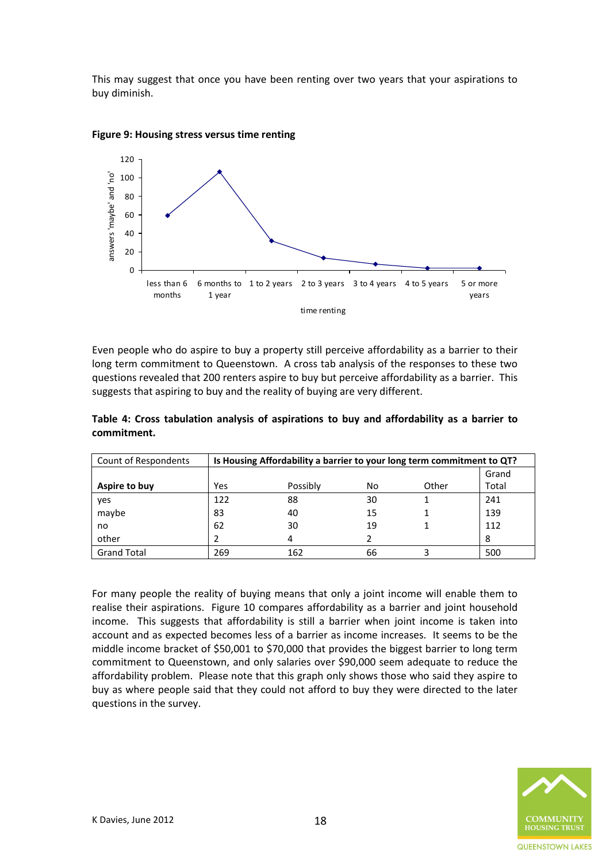This may suggest that once you have been renting over two years that your aspirations to buy diminish.



#### **Figure 9: Housing stress versus time renting**

Even people who do aspire to buy a property still perceive affordability as a barrier to their long term commitment to Queenstown. A cross tab analysis of the responses to these two questions revealed that 200 renters aspire to buy but perceive affordability as a barrier. This suggests that aspiring to buy and the reality of buying are very different.

| Count of Respondents | Is Housing Affordability a barrier to your long term commitment to QT? |          |    |       |       |
|----------------------|------------------------------------------------------------------------|----------|----|-------|-------|
|                      |                                                                        |          |    |       | Grand |
| Aspire to buy        | Yes                                                                    | Possibly | No | Other | Total |
| yes                  | 122                                                                    | 88       | 30 |       | 241   |
| maybe                | 83                                                                     | 40       | 15 |       | 139   |
| no                   | 62                                                                     | 30       | 19 |       | 112   |
| other                |                                                                        |          |    |       | 8     |

Grand Total 269 162 66 3 500

**Table 4: Cross tabulation analysis of aspirations to buy and affordability as a barrier to commitment.**

For many people the reality of buying means that only a joint income will enable them to realise their aspirations. Figure 10 compares affordability as a barrier and joint household income. This suggests that affordability is still a barrier when joint income is taken into account and as expected becomes less of a barrier as income increases. It seems to be the middle income bracket of \$50,001 to \$70,000 that provides the biggest barrier to long term commitment to Queenstown, and only salaries over \$90,000 seem adequate to reduce the affordability problem. Please note that this graph only shows those who said they aspire to buy as where people said that they could not afford to buy they were directed to the later questions in the survey.

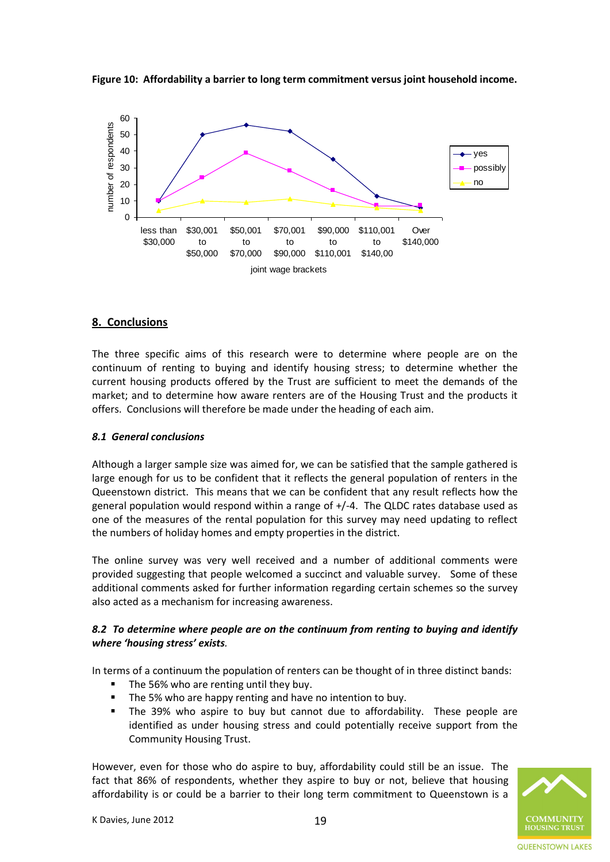



# <span id="page-18-0"></span>**8. Conclusions**

The three specific aims of this research were to determine where people are on the continuum of renting to buying and identify housing stress; to determine whether the current housing products offered by the Trust are sufficient to meet the demands of the market; and to determine how aware renters are of the Housing Trust and the products it offers. Conclusions will therefore be made under the heading of each aim.

#### *8.1 General conclusions*

Although a larger sample size was aimed for, we can be satisfied that the sample gathered is large enough for us to be confident that it reflects the general population of renters in the Queenstown district. This means that we can be confident that any result reflects how the general population would respond within a range of +/-4. The QLDC rates database used as one of the measures of the rental population for this survey may need updating to reflect the numbers of holiday homes and empty properties in the district.

The online survey was very well received and a number of additional comments were provided suggesting that people welcomed a succinct and valuable survey. Some of these additional comments asked for further information regarding certain schemes so the survey also acted as a mechanism for increasing awareness.

#### *8.2 To determine where people are on the continuum from renting to buying and identify where 'housing stress' exists.*

In terms of a continuum the population of renters can be thought of in three distinct bands:

- The 56% who are renting until they buy.
- The 5% who are happy renting and have no intention to buy.
- The 39% who aspire to buy but cannot due to affordability. These people are identified as under housing stress and could potentially receive support from the Community Housing Trust.

However, even for those who do aspire to buy, affordability could still be an issue. The fact that 86% of respondents, whether they aspire to buy or not, believe that housing affordability is or could be a barrier to their long term commitment to Queenstown is a

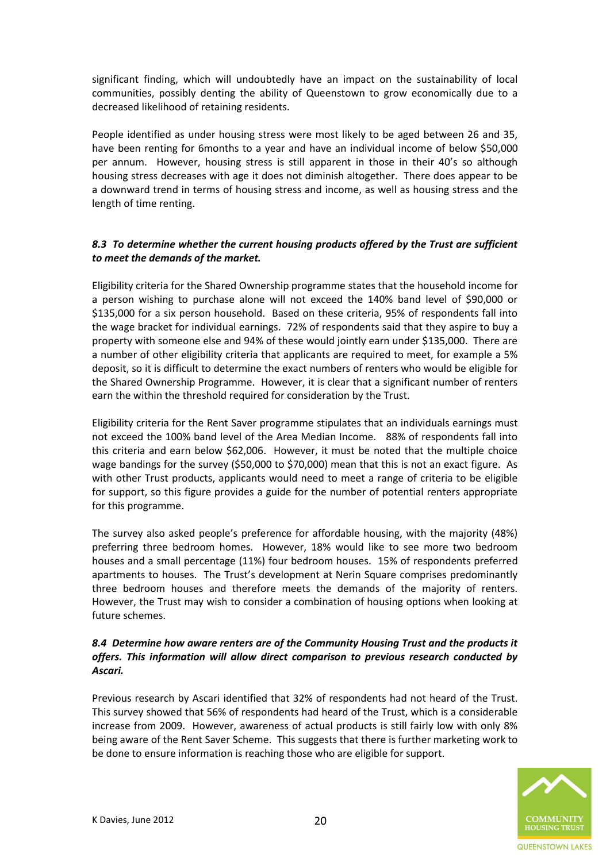significant finding, which will undoubtedly have an impact on the sustainability of local communities, possibly denting the ability of Queenstown to grow economically due to a decreased likelihood of retaining residents.

People identified as under housing stress were most likely to be aged between 26 and 35, have been renting for 6months to a year and have an individual income of below \$50,000 per annum. However, housing stress is still apparent in those in their 40's so although housing stress decreases with age it does not diminish altogether. There does appear to be a downward trend in terms of housing stress and income, as well as housing stress and the length of time renting.

# *8.3 To determine whether the current housing products offered by the Trust are sufficient to meet the demands of the market.*

Eligibility criteria for the Shared Ownership programme states that the household income for a person wishing to purchase alone will not exceed the 140% band level of \$90,000 or \$135,000 for a six person household. Based on these criteria, 95% of respondents fall into the wage bracket for individual earnings. 72% of respondents said that they aspire to buy a property with someone else and 94% of these would jointly earn under \$135,000. There are a number of other eligibility criteria that applicants are required to meet, for example a 5% deposit, so it is difficult to determine the exact numbers of renters who would be eligible for the Shared Ownership Programme. However, it is clear that a significant number of renters earn the within the threshold required for consideration by the Trust.

Eligibility criteria for the Rent Saver programme stipulates that an individuals earnings must not exceed the 100% band level of the Area Median Income. 88% of respondents fall into this criteria and earn below \$62,006. However, it must be noted that the multiple choice wage bandings for the survey (\$50,000 to \$70,000) mean that this is not an exact figure. As with other Trust products, applicants would need to meet a range of criteria to be eligible for support, so this figure provides a guide for the number of potential renters appropriate for this programme.

The survey also asked people's preference for affordable housing, with the majority (48%) preferring three bedroom homes. However, 18% would like to see more two bedroom houses and a small percentage (11%) four bedroom houses. 15% of respondents preferred apartments to houses. The Trust's development at Nerin Square comprises predominantly three bedroom houses and therefore meets the demands of the majority of renters. However, the Trust may wish to consider a combination of housing options when looking at future schemes.

# *8.4 Determine how aware renters are of the Community Housing Trust and the products it offers. This information will allow direct comparison to previous research conducted by Ascari.*

Previous research by Ascari identified that 32% of respondents had not heard of the Trust. This survey showed that 56% of respondents had heard of the Trust, which is a considerable increase from 2009. However, awareness of actual products is still fairly low with only 8% being aware of the Rent Saver Scheme. This suggests that there is further marketing work to be done to ensure information is reaching those who are eligible for support.

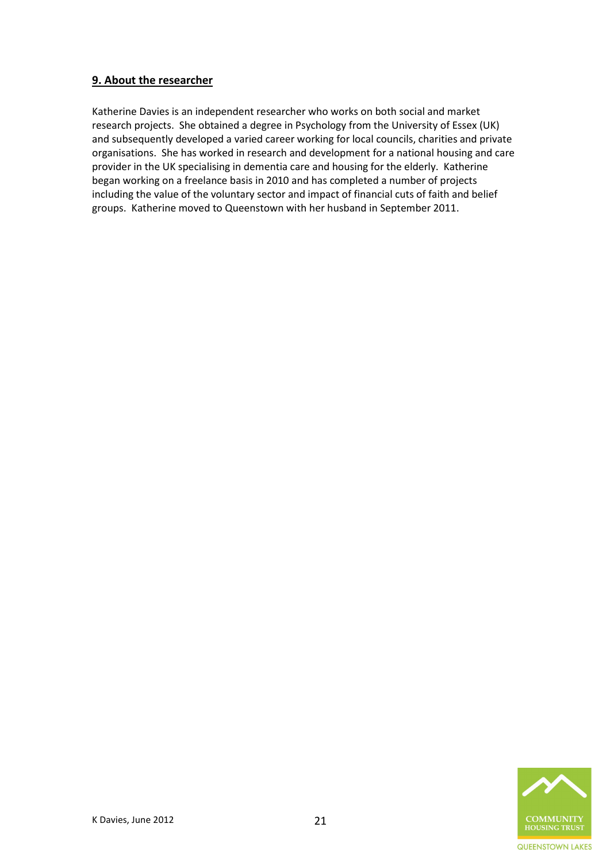# <span id="page-20-0"></span>**9. About the researcher**

Katherine Davies is an independent researcher who works on both social and market research projects. She obtained a degree in Psychology from the University of Essex (UK) and subsequently developed a varied career working for local councils, charities and private organisations. She has worked in research and development for a national housing and care provider in the UK specialising in dementia care and housing for the elderly. Katherine began working on a freelance basis in 2010 and has completed a number of projects including the value of the voluntary sector and impact of financial cuts of faith and belief groups. Katherine moved to Queenstown with her husband in September 2011.

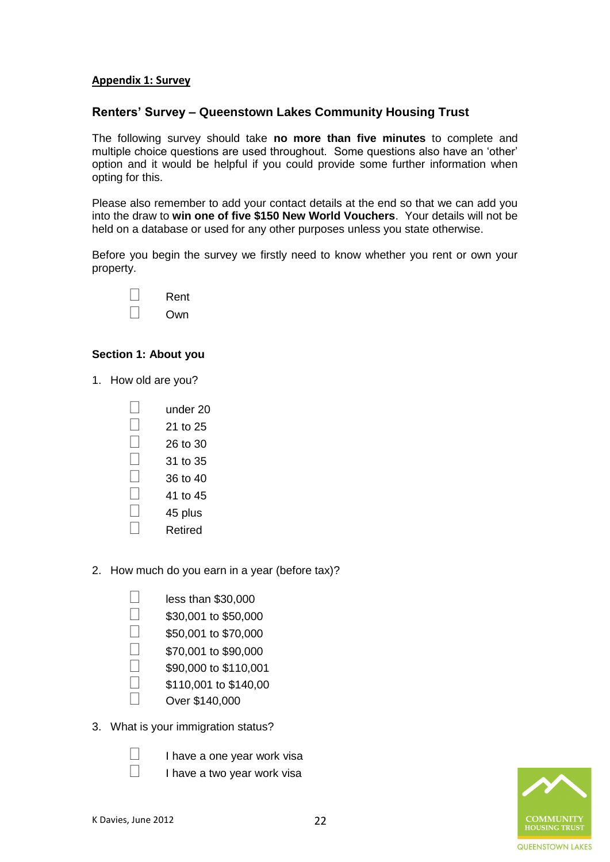# <span id="page-21-0"></span>**Appendix 1: Survey**

# **Renters' Survey – Queenstown Lakes Community Housing Trust**

The following survey should take **no more than five minutes** to complete and multiple choice questions are used throughout. Some questions also have an 'other' option and it would be helpful if you could provide some further information when opting for this.

Please also remember to add your contact details at the end so that we can add you into the draw to **win one of five \$150 New World Vouchers**. Your details will not be held on a database or used for any other purposes unless you state otherwise.

Before you begin the survey we firstly need to know whether you rent or own your property.

| Rent |
|------|
| Own  |

# **Section 1: About you**

- 1. How old are you?
	- $\Box$  under 20
	- $\Box$  21 to 25
	- $\Box$  26 to 30
	- $\Box$  31 to 35
	- $\Box$  36 to 40
	- $\Box$  41 to 45
	- $\Box$  45 plus
	- □ Retired
- 2. How much do you earn in a year (before tax)?

| $\vert \ \ \vert$ | less than \$30,000    |
|-------------------|-----------------------|
| $\vert \ \ \vert$ | \$30,001 to \$50,000  |
| $\vert \ \ \vert$ | \$50,001 to \$70,000  |
| $\vert \ \ \vert$ | \$70,001 to \$90,000  |
| $\vert \ \ \vert$ | \$90,000 to \$110,001 |
| $\vert \ \ \vert$ | \$110,001 to \$140,00 |
| $\vert \ \ \vert$ | Over \$140,000        |
|                   |                       |

3. What is your immigration status?

| $\Box$ | I have a one year work visa |  |
|--------|-----------------------------|--|
| П      |                             |  |

 $\Box$  I have a two year work visa

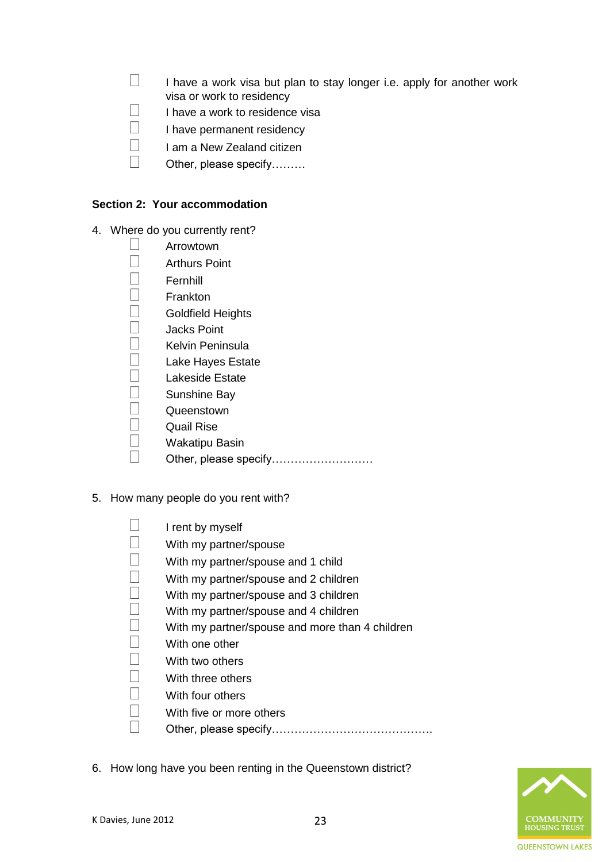- $\Box$  I have a work visa but plan to stay longer i.e. apply for another work visa or work to residency
- $\Box$  I have a work to residence visa
- $\Box$  I have permanent residency
- $\Box$  I am a New Zealand citizen
- $\Box$  Other, please specify………

# **Section 2: Your accommodation**

- 4. Where do you currently rent?
	- Arrowtown
	- $\Box$  Arthurs Point
	- $\Box$  Fernhill
	- $\Box$  Frankton
	- $\Box$  Goldfield Heights
	- $\Box$  Jacks Point
	- $\Box$  Kelvin Peninsula
	- $\Box$  Lake Hayes Estate
	- Lakeside Estate
	- Sunshine Bay
	- $\Box$  Queenstown
	- Quail Rise
	- Wakatipu Basin
	- □ Other, please specify………………………
- 5. How many people do you rent with?
	- $\Box$  I rent by myself
	- $\Box$  With my partner/spouse
	- $\Box$  With my partner/spouse and 1 child
	- $\Box$  With my partner/spouse and 2 children
	- $\Box$  With my partner/spouse and 3 children
	- $\Box$  With my partner/spouse and 4 children
	- $\Box$  With my partner/spouse and more than 4 children
	- $\Box$  With one other
	- $\Box$  With two others
	- $\Box$  With three others
	- $\Box$  With four others
	- $\Box$  With five or more others
	- Other, please specify…………………………………….
- 6. How long have you been renting in the Queenstown district?

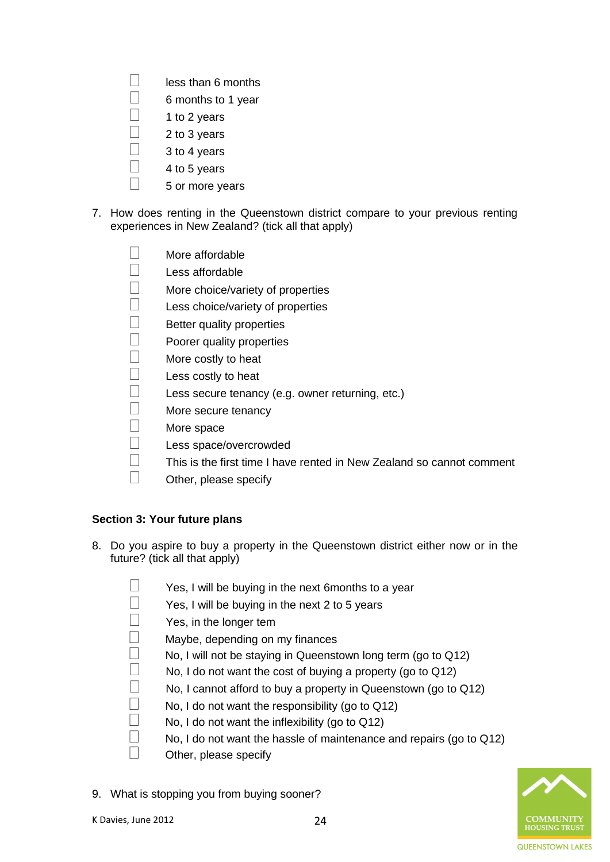- $\Box$  less than 6 months
- $\Box$  6 months to 1 year
- $\Box$  1 to 2 years
- 2 to 3 years
- $\Box$  3 to 4 years
- 4 to 5 years
- $\Box$  5 or more vears
- 7. How does renting in the Queenstown district compare to your previous renting experiences in New Zealand? (tick all that apply)

- $\Box$  Less affordable
- $\Box$  More choice/variety of properties
- $\Box$  Less choice/variety of properties
- $\Box$  Better quality properties
- $\Box$  Poorer quality properties
- $\Box$  More costly to heat
- $\Box$  Less costly to heat
- $\Box$  Less secure tenancy (e.g. owner returning, etc.)
- $\Box$  More secure tenancy
- $\Box$  More space
- Less space/overcrowded
- $\square$  This is the first time I have rented in New Zealand so cannot comment
- $\Box$  Other, please specify

# **Section 3: Your future plans**

- 8. Do you aspire to buy a property in the Queenstown district either now or in the future? (tick all that apply)
	- $\Box$  Yes, I will be buying in the next 6 months to a year
	- $\Box$  Yes, I will be buying in the next 2 to 5 years
	- $\Box$  Yes, in the longer tem
	- $\Box$  Maybe, depending on my finances
	- $\Box$  No, I will not be staying in Queenstown long term (go to Q12)
	- $\Box$  No, I do not want the cost of buying a property (go to Q12)
		- No, I cannot afford to buy a property in Queenstown (go to Q12)
	- No, I do not want the responsibility (go to Q12)
	- $\Box$  No, I do not want the inflexibility (go to Q12)
	- $\Box$  No, I do not want the hassle of maintenance and repairs (go to Q12)
	- $\Box$  Other, please specify
- 9. What is stopping you from buying sooner?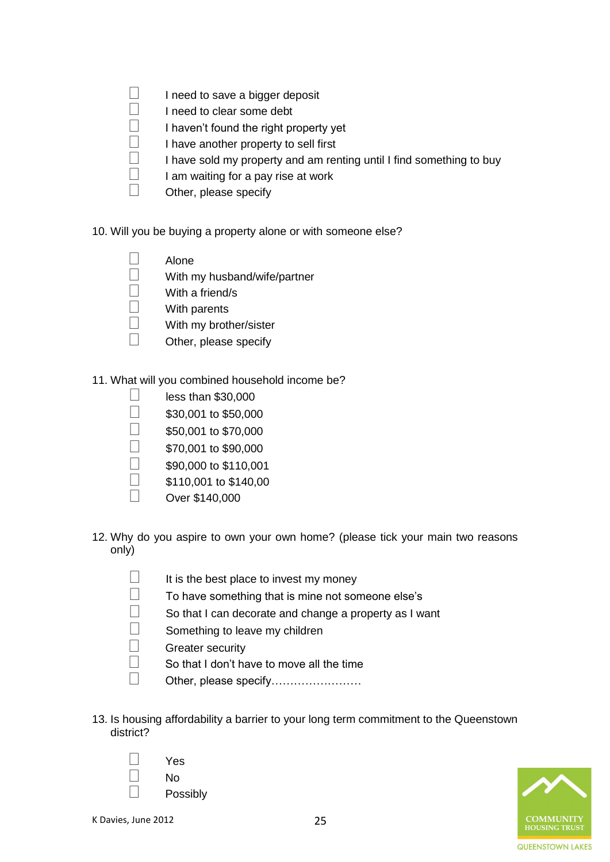- $\Box$  I need to save a bigger deposit
- $\Box$  I need to clear some debt
	- I haven't found the right property yet
- $\Box$  I have another property to sell first
- $\Box$  I have sold my property and am renting until I find something to buy
- $\Box$  I am waiting for a pay rise at work
- $\Box$  Other, please specify
- 10. Will you be buying a property alone or with someone else?
	- $\Box$  Alone
	- $\Box$  With my husband/wife/partner
	- $\Box$  With a friend/s
	- $\Box$  With parents
	- $\Box$  With my brother/sister
	- $\Box$  Other, please specify
- 11. What will you combined household income be?
	- $\Box$  less than \$30,000
	- $\Box$  \$30,001 to \$50,000
	- $\Box$  \$50,001 to \$70,000
	- $\Box$  \$70,001 to \$90,000
	- $\Box$  \$90,000 to \$110,001
	- $\Box$  \$110,001 to \$140,00
	- $\Box$  Over \$140,000
- 12. Why do you aspire to own your own home? (please tick your main two reasons only)
	- $\Box$  It is the best place to invest my money
	- $\Box$  To have something that is mine not someone else's
	- $\Box$  So that I can decorate and change a property as I want
	- $\Box$  Something to leave my children
	- $\Box$  Greater security
	- $\Box$  So that I don't have to move all the time
	- Other, please specify……………………
- 13. Is housing affordability a barrier to your long term commitment to the Queenstown district?



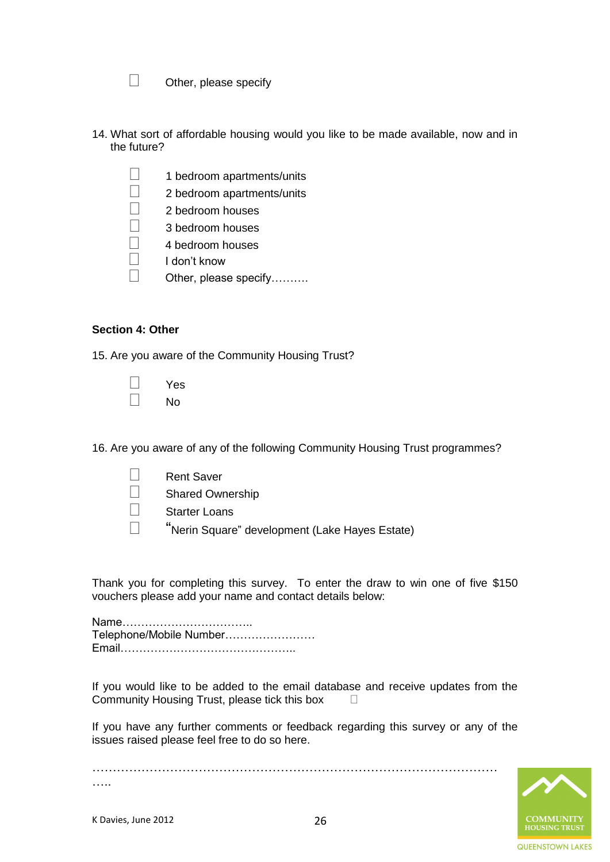- $\Box$  Other, please specify
- 14. What sort of affordable housing would you like to be made available, now and in the future?
	- $\Box$  1 bedroom apartments/units
	- $\Box$  2 bedroom apartments/units
	- $\Box$  2 bedroom houses
	- $\Box$  3 bedroom houses
	- 4 bedroom houses
	- $\Box$  I don't know
	- □ Other, please specify……….

### **Section 4: Other**

15. Are you aware of the Community Housing Trust?

| Yes |
|-----|
| N٥  |

16. Are you aware of any of the following Community Housing Trust programmes?

- □ Rent Saver
- Shared Ownership
- Starter Loans
- "Nerin Square" development (Lake Hayes Estate)

Thank you for completing this survey. To enter the draw to win one of five \$150 vouchers please add your name and contact details below:

Name…………………………….. Telephone/Mobile Number…………………… Email………………………………………..

If you would like to be added to the email database and receive updates from the Community Housing Trust, please tick this box

If you have any further comments or feedback regarding this survey or any of the issues raised please feel free to do so here.



……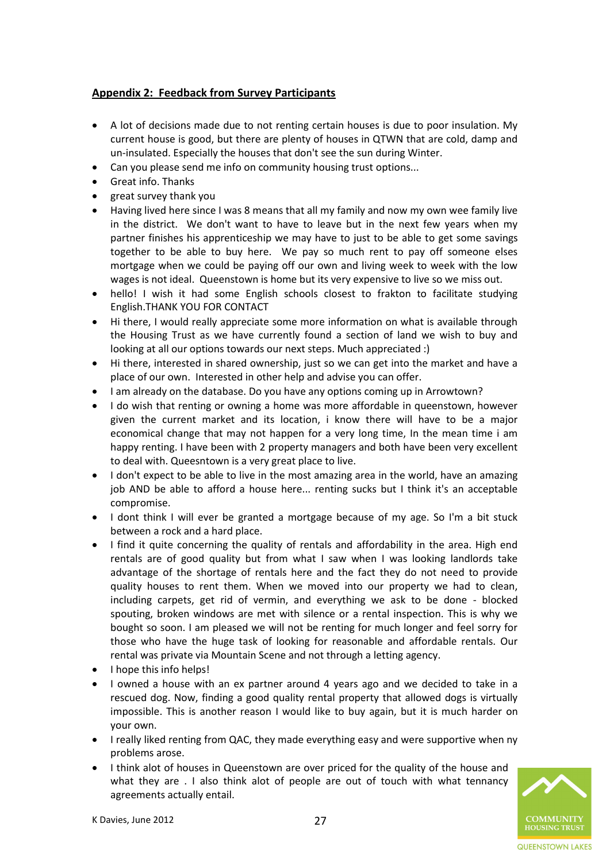# <span id="page-26-0"></span>**Appendix 2: Feedback from Survey Participants**

- A lot of decisions made due to not renting certain houses is due to poor insulation. My current house is good, but there are plenty of houses in QTWN that are cold, damp and un-insulated. Especially the houses that don't see the sun during Winter.
- Can you please send me info on community housing trust options...
- Great info. Thanks
- great survey thank you
- Having lived here since I was 8 means that all my family and now my own wee family live in the district. We don't want to have to leave but in the next few years when my partner finishes his apprenticeship we may have to just to be able to get some savings together to be able to buy here. We pay so much rent to pay off someone elses mortgage when we could be paying off our own and living week to week with the low wages is not ideal. Queenstown is home but its very expensive to live so we miss out.
- hello! I wish it had some English schools closest to frakton to facilitate studying English.THANK YOU FOR CONTACT
- Hi there, I would really appreciate some more information on what is available through the Housing Trust as we have currently found a section of land we wish to buy and looking at all our options towards our next steps. Much appreciated :)
- Hi there, interested in shared ownership, just so we can get into the market and have a place of our own. Interested in other help and advise you can offer.
- I am already on the database. Do you have any options coming up in Arrowtown?
- I do wish that renting or owning a home was more affordable in queenstown, however given the current market and its location, i know there will have to be a major economical change that may not happen for a very long time, In the mean time i am happy renting. I have been with 2 property managers and both have been very excellent to deal with. Queesntown is a very great place to live.
- I don't expect to be able to live in the most amazing area in the world, have an amazing job AND be able to afford a house here... renting sucks but I think it's an acceptable compromise.
- I dont think I will ever be granted a mortgage because of my age. So I'm a bit stuck between a rock and a hard place.
- I find it quite concerning the quality of rentals and affordability in the area. High end rentals are of good quality but from what I saw when I was looking landlords take advantage of the shortage of rentals here and the fact they do not need to provide quality houses to rent them. When we moved into our property we had to clean, including carpets, get rid of vermin, and everything we ask to be done - blocked spouting, broken windows are met with silence or a rental inspection. This is why we bought so soon. I am pleased we will not be renting for much longer and feel sorry for those who have the huge task of looking for reasonable and affordable rentals. Our rental was private via Mountain Scene and not through a letting agency.
- $\bullet$  I hope this info helps!
- I owned a house with an ex partner around 4 years ago and we decided to take in a rescued dog. Now, finding a good quality rental property that allowed dogs is virtually impossible. This is another reason I would like to buy again, but it is much harder on your own.
- I really liked renting from QAC, they made everything easy and were supportive when ny problems arose.
- I think alot of houses in Queenstown are over priced for the quality of the house and what they are . I also think alot of people are out of touch with what tennancy agreements actually entail.

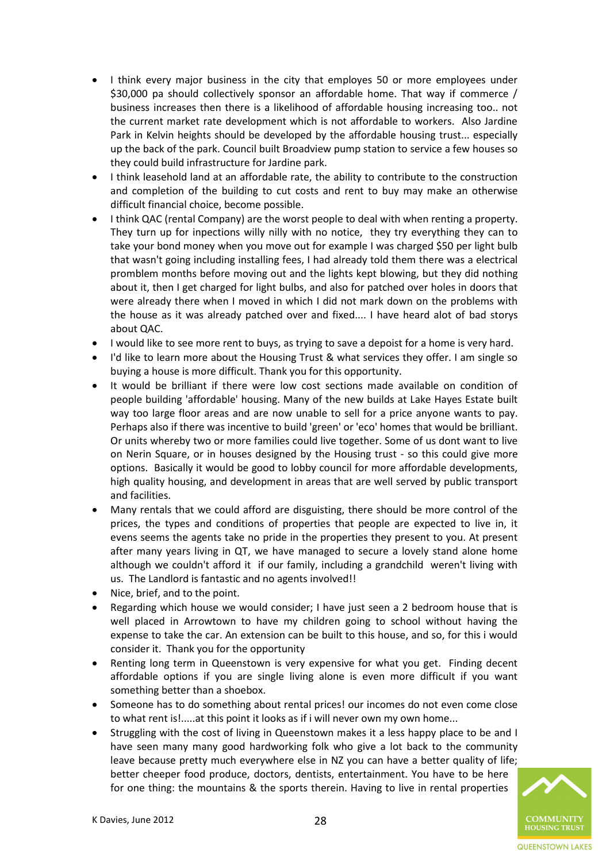- I think every major business in the city that employes 50 or more employees under \$30,000 pa should collectively sponsor an affordable home. That way if commerce / business increases then there is a likelihood of affordable housing increasing too.. not the current market rate development which is not affordable to workers. Also Jardine Park in Kelvin heights should be developed by the affordable housing trust... especially up the back of the park. Council built Broadview pump station to service a few houses so they could build infrastructure for Jardine park.
- I think leasehold land at an affordable rate, the ability to contribute to the construction and completion of the building to cut costs and rent to buy may make an otherwise difficult financial choice, become possible.
- I think QAC (rental Company) are the worst people to deal with when renting a property. They turn up for inpections willy nilly with no notice, they try everything they can to take your bond money when you move out for example I was charged \$50 per light bulb that wasn't going including installing fees, I had already told them there was a electrical promblem months before moving out and the lights kept blowing, but they did nothing about it, then I get charged for light bulbs, and also for patched over holes in doors that were already there when I moved in which I did not mark down on the problems with the house as it was already patched over and fixed.... I have heard alot of bad storys about QAC.
- I would like to see more rent to buys, as trying to save a depoist for a home is very hard.
- I'd like to learn more about the Housing Trust & what services they offer. I am single so buying a house is more difficult. Thank you for this opportunity.
- It would be brilliant if there were low cost sections made available on condition of people building 'affordable' housing. Many of the new builds at Lake Hayes Estate built way too large floor areas and are now unable to sell for a price anyone wants to pay. Perhaps also if there was incentive to build 'green' or 'eco' homes that would be brilliant. Or units whereby two or more families could live together. Some of us dont want to live on Nerin Square, or in houses designed by the Housing trust - so this could give more options. Basically it would be good to lobby council for more affordable developments, high quality housing, and development in areas that are well served by public transport and facilities.
- Many rentals that we could afford are disguisting, there should be more control of the prices, the types and conditions of properties that people are expected to live in, it evens seems the agents take no pride in the properties they present to you. At present after many years living in QT, we have managed to secure a lovely stand alone home although we couldn't afford it if our family, including a grandchild weren't living with us. The Landlord is fantastic and no agents involved!!
- Nice, brief, and to the point.
- Regarding which house we would consider; I have just seen a 2 bedroom house that is well placed in Arrowtown to have my children going to school without having the expense to take the car. An extension can be built to this house, and so, for this i would consider it. Thank you for the opportunity
- Renting long term in Queenstown is very expensive for what you get. Finding decent affordable options if you are single living alone is even more difficult if you want something better than a shoebox.
- Someone has to do something about rental prices! our incomes do not even come close to what rent is!.....at this point it looks as if i will never own my own home...
- Struggling with the cost of living in Queenstown makes it a less happy place to be and I have seen many many good hardworking folk who give a lot back to the community leave because pretty much everywhere else in NZ you can have a better quality of life; better cheeper food produce, doctors, dentists, entertainment. You have to be here for one thing: the mountains & the sports therein. Having to live in rental properties